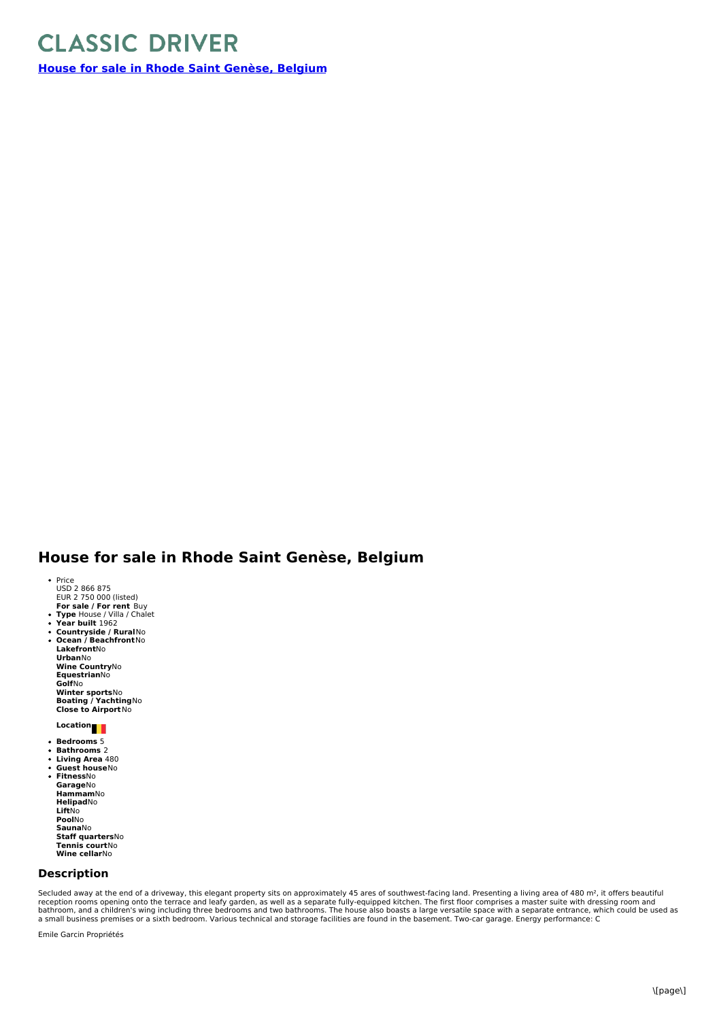## **CLASSIC DRIVER**

**House for sale in Rhode Saint [Genèse,](https://www.classicdriver.com/en/real-estate/house-sale-rhode-saint-genese-belgium) Belgium**

## **House for sale in Rhode Saint Genèse, Belgium**

- Price<br>USD 2 866 875
- **E**UR 2 750 000 (listed)<br>**For sale / For rent** Buy
- **Type** House / Villa / Chalet **Year built** 1962
- 
- $\ddot{\phantom{0}}$ **Countryside / Rural**No **Ocean /Beachfront**No  $\bullet$ **Lakefront**No **Urban**No **Wine Country**No **Equestrian**No **Golf**No **Winter sports**No **Boating / Yachting**No **Close to Airport**No

## **Location**

- **Bedrooms** 5
- $\ddot{\phantom{0}}$  $\bullet$
- **Bathrooms** 2 **Living Area** 480 **Guest house**No  $\overline{a}$ **Fitness**No  $\bullet$ **Garage**No **Hammam**No **Helipad**No **Lift**No **Pool**No **Sauna**No **Staff quarters**No **Tennis court**No **Wine cellar**No

## **Description**

Secluded away at the end of a driveway, this elegant property sits on approximately 45 ares of southwest-facing land. Presenting a living area of 480 m², it offers beautiful<br>reception rooms opening onto the terrace and lea

Emile Garcin Propriétés